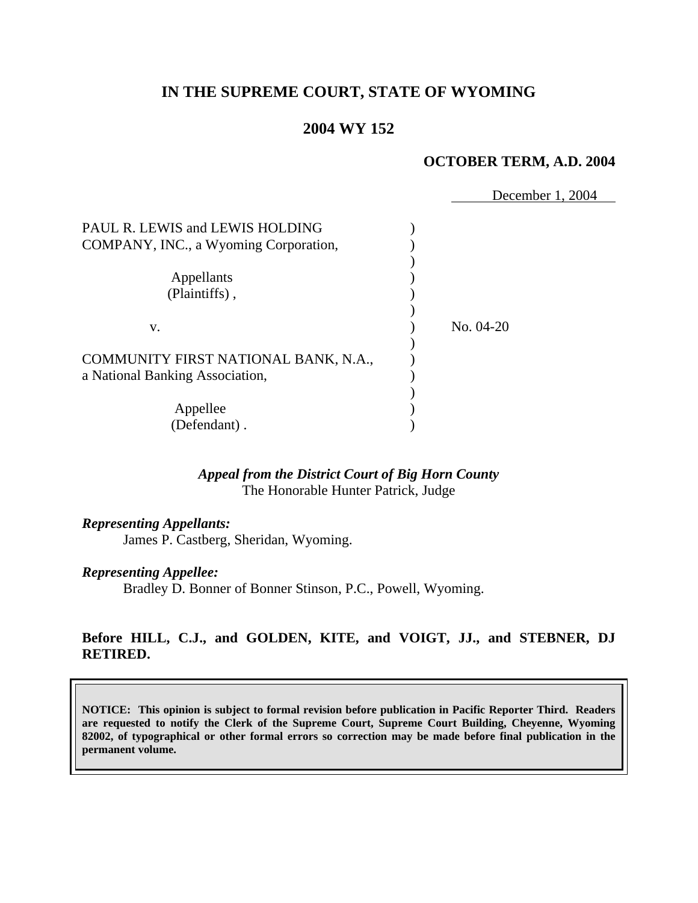# **IN THE SUPREME COURT, STATE OF WYOMING**

# **2004 WY 152**

#### **OCTOBER TERM, A.D. 2004**

 December 1, 2004 PAUL R. LEWIS and LEWIS HOLDING  $($ COMPANY, INC., a Wyoming Corporation, ) Appellants (a) (Plaintiffs), ) v. ) No. 04-20 ) COMMUNITY FIRST NATIONAL BANK, N.A., a National Banking Association, (a) ) Appellee (b) (Defendant) .

## *Appeal from the District Court of Big Horn County* The Honorable Hunter Patrick, Judge

*Representing Appellants:*

James P. Castberg, Sheridan, Wyoming.

#### *Representing Appellee:*

Bradley D. Bonner of Bonner Stinson, P.C., Powell, Wyoming.

## **Before HILL, C.J., and GOLDEN, KITE, and VOIGT, JJ., and STEBNER, DJ RETIRED.**

**NOTICE: This opinion is subject to formal revision before publication in Pacific Reporter Third. Readers are requested to notify the Clerk of the Supreme Court, Supreme Court Building, Cheyenne, Wyoming 82002, of typographical or other formal errors so correction may be made before final publication in the permanent volume.**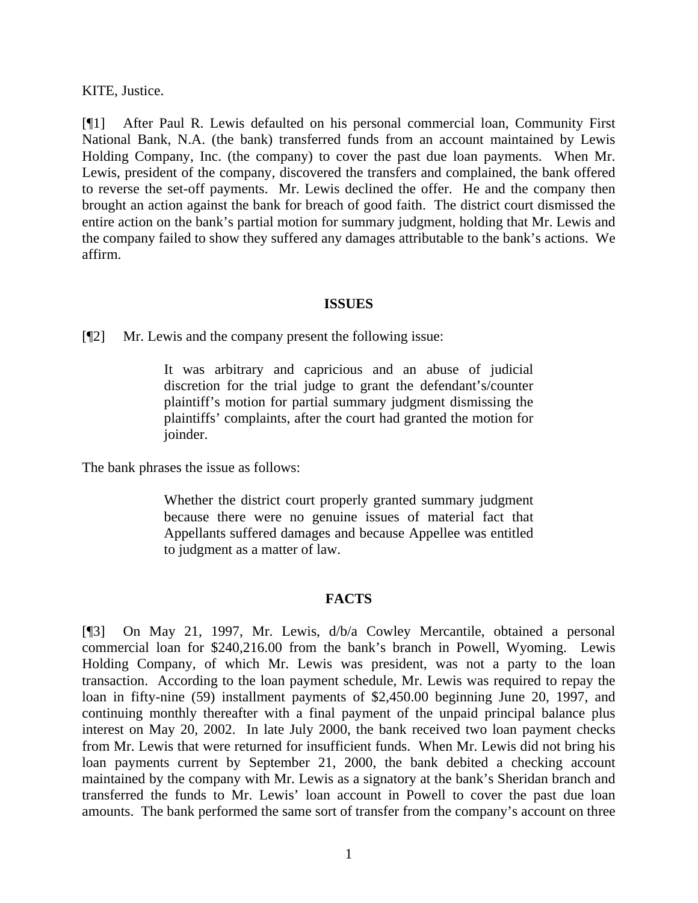KITE, Justice.

[¶1] After Paul R. Lewis defaulted on his personal commercial loan, Community First National Bank, N.A. (the bank) transferred funds from an account maintained by Lewis Holding Company, Inc. (the company) to cover the past due loan payments. When Mr. Lewis, president of the company, discovered the transfers and complained, the bank offered to reverse the set-off payments. Mr. Lewis declined the offer. He and the company then brought an action against the bank for breach of good faith. The district court dismissed the entire action on the bank's partial motion for summary judgment, holding that Mr. Lewis and the company failed to show they suffered any damages attributable to the bank's actions. We affirm.

## **ISSUES**

[¶2] Mr. Lewis and the company present the following issue:

It was arbitrary and capricious and an abuse of judicial discretion for the trial judge to grant the defendant's/counter plaintiff's motion for partial summary judgment dismissing the plaintiffs' complaints, after the court had granted the motion for joinder.

The bank phrases the issue as follows:

Whether the district court properly granted summary judgment because there were no genuine issues of material fact that Appellants suffered damages and because Appellee was entitled to judgment as a matter of law.

## **FACTS**

[¶3] On May 21, 1997, Mr. Lewis, d/b/a Cowley Mercantile, obtained a personal commercial loan for \$240,216.00 from the bank's branch in Powell, Wyoming. Lewis Holding Company, of which Mr. Lewis was president, was not a party to the loan transaction. According to the loan payment schedule, Mr. Lewis was required to repay the loan in fifty-nine (59) installment payments of \$2,450.00 beginning June 20, 1997, and continuing monthly thereafter with a final payment of the unpaid principal balance plus interest on May 20, 2002. In late July 2000, the bank received two loan payment checks from Mr. Lewis that were returned for insufficient funds. When Mr. Lewis did not bring his loan payments current by September 21, 2000, the bank debited a checking account maintained by the company with Mr. Lewis as a signatory at the bank's Sheridan branch and transferred the funds to Mr. Lewis' loan account in Powell to cover the past due loan amounts. The bank performed the same sort of transfer from the company's account on three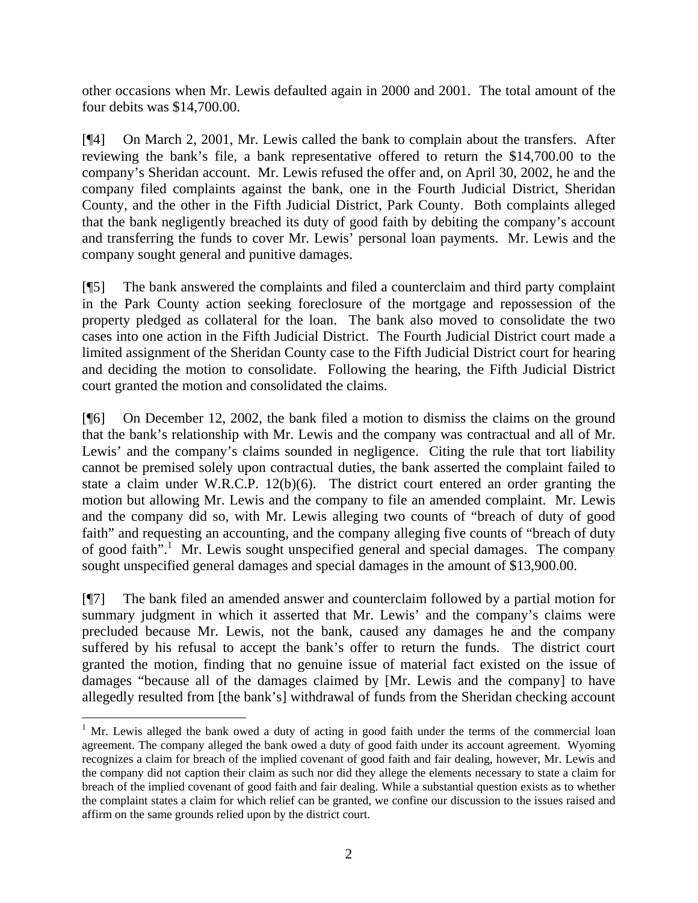other occasions when Mr. Lewis defaulted again in 2000 and 2001. The total amount of the four debits was \$14,700.00.

[¶4] On March 2, 2001, Mr. Lewis called the bank to complain about the transfers. After reviewing the bank's file, a bank representative offered to return the \$14,700.00 to the company's Sheridan account. Mr. Lewis refused the offer and, on April 30, 2002, he and the company filed complaints against the bank, one in the Fourth Judicial District, Sheridan County, and the other in the Fifth Judicial District, Park County. Both complaints alleged that the bank negligently breached its duty of good faith by debiting the company's account and transferring the funds to cover Mr. Lewis' personal loan payments. Mr. Lewis and the company sought general and punitive damages.

[¶5] The bank answered the complaints and filed a counterclaim and third party complaint in the Park County action seeking foreclosure of the mortgage and repossession of the property pledged as collateral for the loan. The bank also moved to consolidate the two cases into one action in the Fifth Judicial District. The Fourth Judicial District court made a limited assignment of the Sheridan County case to the Fifth Judicial District court for hearing and deciding the motion to consolidate. Following the hearing, the Fifth Judicial District court granted the motion and consolidated the claims.

[¶6] On December 12, 2002, the bank filed a motion to dismiss the claims on the ground that the bank's relationship with Mr. Lewis and the company was contractual and all of Mr. Lewis' and the company's claims sounded in negligence. Citing the rule that tort liability cannot be premised solely upon contractual duties, the bank asserted the complaint failed to state a claim under W.R.C.P. 12(b)(6). The district court entered an order granting the motion but allowing Mr. Lewis and the company to file an amended complaint. Mr. Lewis and the company did so, with Mr. Lewis alleging two counts of "breach of duty of good faith" and requesting an accounting, and the company alleging five counts of "breach of duty of good faith".<sup>[1](#page-3-0)</sup> Mr. Lewis sought unspecified general and special damages. The company sought unspecified general damages and special damages in the amount of \$13,900.00.

[¶7] The bank filed an amended answer and counterclaim followed by a partial motion for summary judgment in which it asserted that Mr. Lewis' and the company's claims were precluded because Mr. Lewis, not the bank, caused any damages he and the company suffered by his refusal to accept the bank's offer to return the funds. The district court granted the motion, finding that no genuine issue of material fact existed on the issue of damages "because all of the damages claimed by [Mr. Lewis and the company] to have allegedly resulted from [the bank's] withdrawal of funds from the Sheridan checking account

 $\overline{a}$ 

<span id="page-3-0"></span> $1$  Mr. Lewis alleged the bank owed a duty of acting in good faith under the terms of the commercial loan agreement. The company alleged the bank owed a duty of good faith under its account agreement. Wyoming recognizes a claim for breach of the implied covenant of good faith and fair dealing, however, Mr. Lewis and the company did not caption their claim as such nor did they allege the elements necessary to state a claim for breach of the implied covenant of good faith and fair dealing. While a substantial question exists as to whether the complaint states a claim for which relief can be granted, we confine our discussion to the issues raised and affirm on the same grounds relied upon by the district court.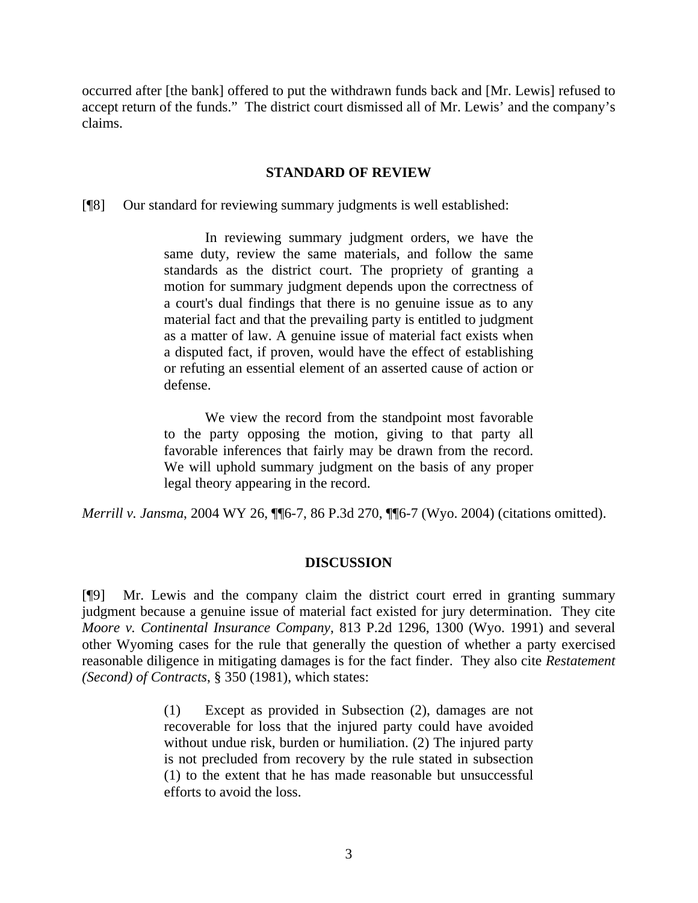occurred after [the bank] offered to put the withdrawn funds back and [Mr. Lewis] refused to accept return of the funds." The district court dismissed all of Mr. Lewis' and the company's claims.

### **STANDARD OF REVIEW**

[¶8] Our standard for reviewing summary judgments is well established:

In reviewing summary judgment orders, we have the same duty, review the same materials, and follow the same standards as the district court. The propriety of granting a motion for summary judgment depends upon the correctness of a court's dual findings that there is no genuine issue as to any material fact and that the prevailing party is entitled to judgment as a matter of law. A genuine issue of material fact exists when a disputed fact, if proven, would have the effect of establishing or refuting an essential element of an asserted cause of action or defense.

We view the record from the standpoint most favorable to the party opposing the motion, giving to that party all favorable inferences that fairly may be drawn from the record. We will uphold summary judgment on the basis of any proper legal theory appearing in the record.

*Merrill v. Jansma*, 2004 WY 26, ¶¶6-7, 86 P.3d 270, ¶¶6-7 (Wyo. 2004) (citations omitted).

#### **DISCUSSION**

[¶9] Mr. Lewis and the company claim the district court erred in granting summary judgment because a genuine issue of material fact existed for jury determination. They cite *Moore v. Continental Insurance Company*, 813 P.2d 1296, 1300 (Wyo. 1991) and several other Wyoming cases for the rule that generally the question of whether a party exercised reasonable diligence in mitigating damages is for the fact finder. They also cite *Restatement (Second) of Contracts*, § 350 (1981), which states:

> (1) Except as provided in Subsection (2), damages are not recoverable for loss that the injured party could have avoided without undue risk, burden or humiliation. (2) The injured party is not precluded from recovery by the rule stated in subsection (1) to the extent that he has made reasonable but unsuccessful efforts to avoid the loss.